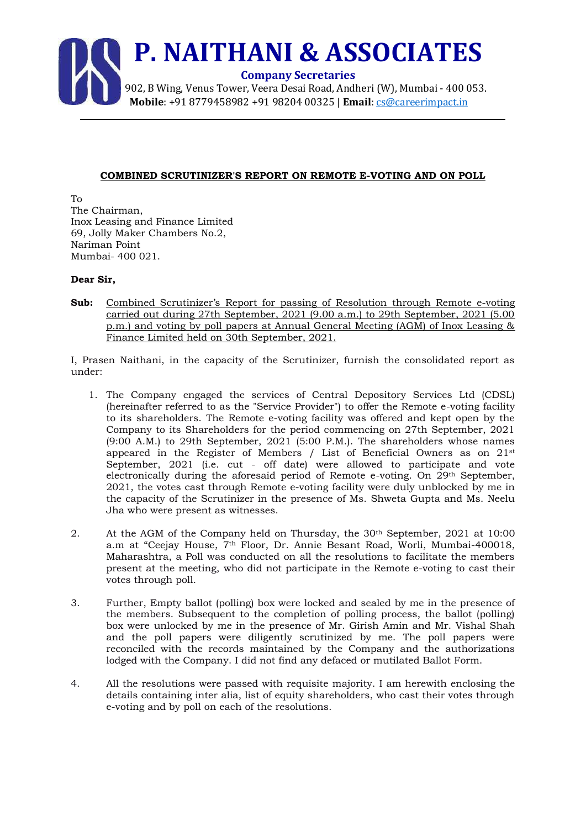

## **COMBINED SCRUTINIZER'S REPORT ON REMOTE E-VOTING AND ON POLL**

To The Chairman, Inox Leasing and Finance Limited 69, Jolly Maker Chambers No.2, Nariman Point Mumbai- 400 021.

## **Dear Sir,**

**Sub:** Combined Scrutinizer's Report for passing of Resolution through Remote e-voting carried out during 27th September, 2021 (9.00 a.m.) to 29th September, 2021 (5.00 p.m.) and voting by poll papers at Annual General Meeting (AGM) of Inox Leasing & Finance Limited held on 30th September, 2021.

I, Prasen Naithani, in the capacity of the Scrutinizer, furnish the consolidated report as under:

- 1. The Company engaged the services of Central Depository Services Ltd (CDSL) (hereinafter referred to as the "Service Provider") to offer the Remote e-voting facility to its shareholders. The Remote e-voting facility was offered and kept open by the Company to its Shareholders for the period commencing on 27th September, 2021 (9:00 A.M.) to 29th September, 2021 (5:00 P.M.). The shareholders whose names appeared in the Register of Members / List of Beneficial Owners as on 21st September, 2021 (i.e. cut - off date) were allowed to participate and vote electronically during the aforesaid period of Remote e-voting. On 29th September, 2021, the votes cast through Remote e-voting facility were duly unblocked by me in the capacity of the Scrutinizer in the presence of Ms. Shweta Gupta and Ms. Neelu Jha who were present as witnesses.
- 2. At the AGM of the Company held on Thursday, the 30<sup>th</sup> September, 2021 at 10:00 a.m at "Ceejay House, 7th Floor, Dr. Annie Besant Road, Worli, Mumbai-400018, Maharashtra, a Poll was conducted on all the resolutions to facilitate the members present at the meeting, who did not participate in the Remote e-voting to cast their votes through poll.
- 3. Further, Empty ballot (polling) box were locked and sealed by me in the presence of the members. Subsequent to the completion of polling process, the ballot (polling) box were unlocked by me in the presence of Mr. Girish Amin and Mr. Vishal Shah and the poll papers were diligently scrutinized by me. The poll papers were reconciled with the records maintained by the Company and the authorizations lodged with the Company. I did not find any defaced or mutilated Ballot Form.
- 4. All the resolutions were passed with requisite majority. I am herewith enclosing the details containing inter alia, list of equity shareholders, who cast their votes through e-voting and by poll on each of the resolutions.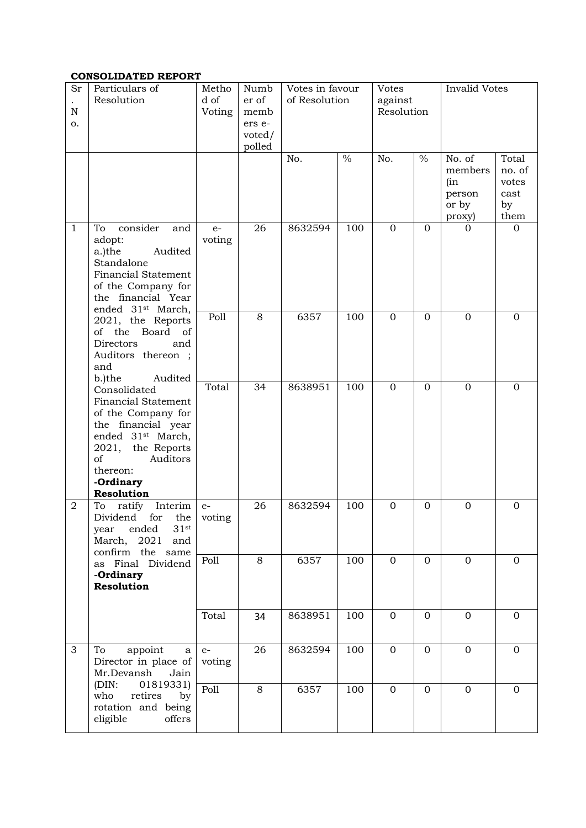## **CONSOLIDATED REPORT**

| Sr<br>N<br>0.                                                                                                              | Particulars of<br>Resolution                                                                                                                                                                          | Metho<br>d of<br>Voting | Numb<br>er of<br>memb<br>ers e-<br>voted/<br>polled | Votes in favour<br>of Resolution |               | Votes<br>against<br>Resolution |               | <b>Invalid Votes</b>                                  |                                                |
|----------------------------------------------------------------------------------------------------------------------------|-------------------------------------------------------------------------------------------------------------------------------------------------------------------------------------------------------|-------------------------|-----------------------------------------------------|----------------------------------|---------------|--------------------------------|---------------|-------------------------------------------------------|------------------------------------------------|
|                                                                                                                            |                                                                                                                                                                                                       |                         |                                                     | No.                              | $\frac{0}{0}$ | No.                            | $\frac{0}{0}$ | No. of<br>members<br>(in<br>person<br>or by<br>proxy) | Total<br>no. of<br>votes<br>cast<br>by<br>them |
| $\mathbf{1}$                                                                                                               | consider<br>To<br>and<br>adopt:<br>Audited<br>a.)the<br>Standalone<br><b>Financial Statement</b><br>of the Company for<br>the financial Year<br>ended 31 <sup>st</sup> March,                         | $e-$<br>voting          | 26                                                  | 8632594                          | 100           | $\mathbf{0}$                   | $\mathbf{0}$  | $\Omega$                                              | $\mathbf{0}$                                   |
|                                                                                                                            | 2021, the Reports<br>of the Board of<br>Directors<br>and<br>Auditors thereon ;<br>and<br>b.)the<br>Audited                                                                                            | Poll                    | 8                                                   | 6357                             | 100           | $\mathbf{0}$                   | $\mathbf{0}$  | $\mathbf 0$                                           | $\mathbf{0}$                                   |
|                                                                                                                            | Consolidated<br><b>Financial Statement</b><br>of the Company for<br>the financial year<br>ended 31 <sup>st</sup> March,<br>2021, the Reports<br>of<br>Auditors<br>thereon:<br>-Ordinary<br>Resolution | Total                   | 34                                                  | 8638951                          | 100           | $\mathbf{0}$                   | $\mathbf{0}$  | $\mathbf 0$                                           | $\mathbf{0}$                                   |
| $\overline{2}$                                                                                                             | Interim<br>To<br>ratify<br>Dividend<br>for<br>the<br>$31$ st<br>ended<br>year<br>March, 2021 and<br>confirm the same                                                                                  | $e-$<br>voting          | 26                                                  | 8632594                          | 100           | $\mathbf{0}$                   | $\mathbf{0}$  | $\mathbf{0}$                                          | $\mathbf{0}$                                   |
|                                                                                                                            | as Final Dividend<br>-Ordinary<br>Resolution                                                                                                                                                          | Poll                    | 8                                                   | 6357                             | 100           | $\mathbf{0}$                   | $\mathbf{0}$  | $\overline{0}$                                        | $\mathbf{0}$                                   |
|                                                                                                                            |                                                                                                                                                                                                       | Total                   | 34                                                  | 8638951                          | 100           | $\mathbf{0}$                   | $\mathbf{O}$  | $\overline{0}$                                        | $\mathbf{0}$                                   |
| 3<br>appoint<br>To<br>Mr.Devansh<br>(DIN:<br>01819331)<br>who<br>retires<br>by<br>rotation and being<br>eligible<br>offers | a<br>Director in place of<br>Jain                                                                                                                                                                     | $e-$<br>voting          | 26                                                  | 8632594                          | 100           | $\mathbf{0}$                   | $\mathbf{0}$  | $\mathbf{0}$                                          | $\mathbf{0}$                                   |
|                                                                                                                            | Poll                                                                                                                                                                                                  | 8                       | 6357                                                | 100                              | $\mathbf{0}$  | $\Omega$                       | $\mathbf{0}$  | $\mathbf{0}$                                          |                                                |